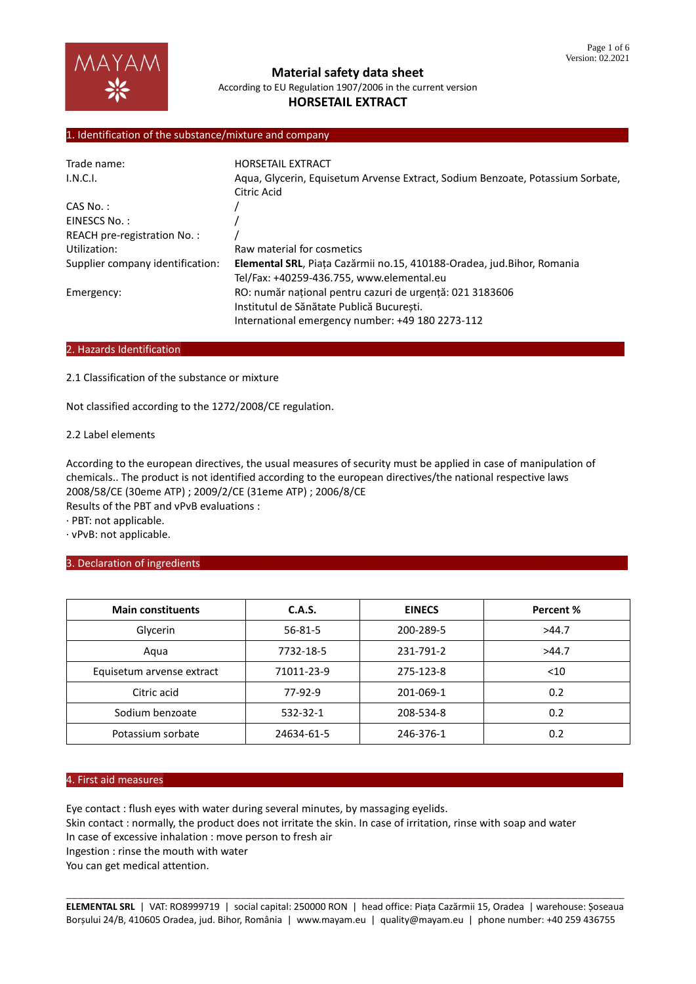## 1. Identification of the substance/mixture and company

| Trade name:                      | <b>HORSETAIL EXTRACT</b>                                                       |
|----------------------------------|--------------------------------------------------------------------------------|
| I.N.C.I.                         | Aqua, Glycerin, Equisetum Arvense Extract, Sodium Benzoate, Potassium Sorbate, |
|                                  | Citric Acid                                                                    |
| $CAS No.$ :                      |                                                                                |
| EINESCS No.:                     |                                                                                |
| REACH pre-registration No.:      |                                                                                |
| Utilization:                     | Raw material for cosmetics                                                     |
| Supplier company identification: | Elemental SRL, Piața Cazărmii no.15, 410188-Oradea, jud. Bihor, Romania        |
|                                  | Tel/Fax: +40259-436.755, www.elemental.eu                                      |
| Emergency:                       | RO: număr național pentru cazuri de urgență: 021 3183606                       |
|                                  | Institutul de Sănătate Publică Bucuresti.                                      |
|                                  | International emergency number: +49 180 2273-112                               |

## 2. Hazards Identification

2.1 Classification of the substance or mixture

Not classified according to the 1272/2008/CE regulation.

### 2.2 Label elements

According to the european directives, the usual measures of security must be applied in case of manipulation of chemicals.. The product is not identified according to the european directives/the national respective laws 2008/58/CE (30eme ATP) ; 2009/2/CE (31eme ATP) ; 2006/8/CE Results of the PBT and vPvB evaluations :

· PBT: not applicable.

· vPvB: not applicable.

### 3. Declaration of ingredients

| <b>Main constituents</b>  | C.A.S.     | <b>EINECS</b> | Percent % |
|---------------------------|------------|---------------|-----------|
| Glycerin                  | 56-81-5    | 200-289-5     | >44.7     |
| Aqua                      | 7732-18-5  | 231-791-2     | >44.7     |
| Equisetum arvense extract | 71011-23-9 | 275-123-8     | < 10      |
| Citric acid               | 77-92-9    | 201-069-1     | 0.2       |
| Sodium benzoate           | 532-32-1   | 208-534-8     | 0.2       |
| Potassium sorbate         | 24634-61-5 | 246-376-1     | 0.2       |

#### 4. First aid measures………………………………………………………………………………………………………………………………………………………

Eye contact : flush eyes with water during several minutes, by massaging eyelids.

Skin contact : normally, the product does not irritate the skin. In case of irritation, rinse with soap and water

In case of excessive inhalation : move person to fresh air

Ingestion : rinse the mouth with water

You can get medical attention.

\_\_\_\_\_\_\_\_\_\_\_\_\_\_\_\_\_\_\_\_\_\_\_\_\_\_\_\_\_\_\_\_\_\_\_\_\_\_\_\_\_\_\_\_\_\_\_\_\_\_\_\_\_\_\_\_\_\_\_\_\_\_\_\_\_\_\_\_\_\_\_\_\_\_\_\_\_\_\_\_\_\_\_\_\_\_\_\_\_\_\_\_\_\_\_\_ **ELEMENTAL SRL** | VAT: RO8999719 | social capital: 250000 RON | head office: Piața Cazărmii 15, Oradea | warehouse: Șoseaua Borșului 24/B, 410605 Oradea, jud. Bihor, România | www.mayam.eu | quality@mayam.eu | phone number: +40 259 436755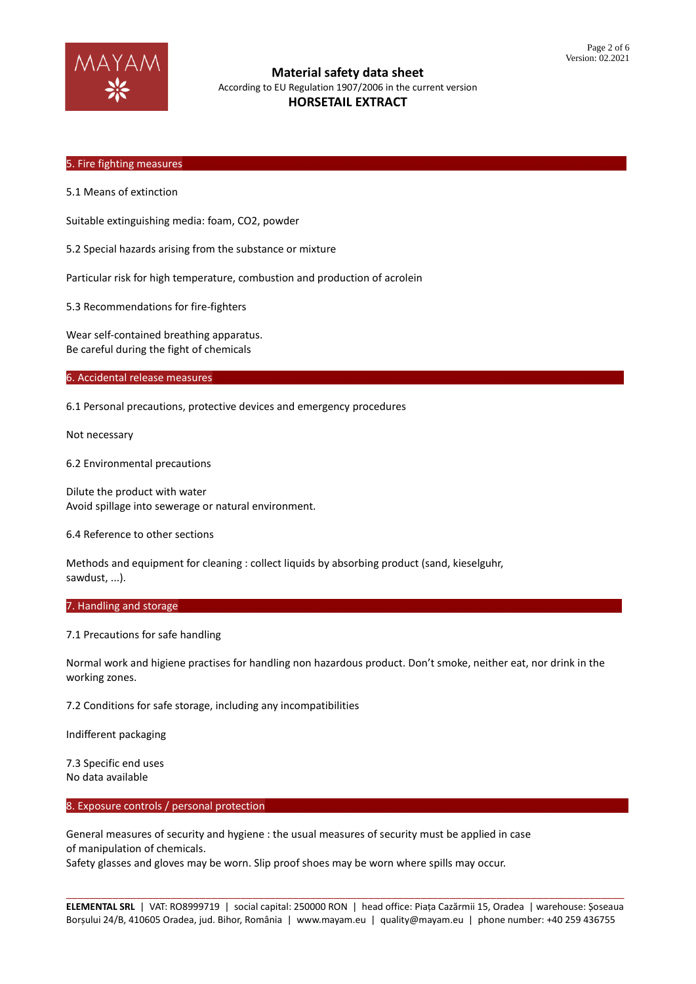

### 5. Fire fighting measures

5.1 Means of extinction

Suitable extinguishing media: foam, CO2, powder

5.2 Special hazards arising from the substance or mixture

Particular risk for high temperature, combustion and production of acrolein

5.3 Recommendations for fire-fighters

Wear self-contained breathing apparatus. Be careful during the fight of chemicals

6. Accidental release measures

6.1 Personal precautions, protective devices and emergency procedures

Not necessary

6.2 Environmental precautions

Dilute the product with water Avoid spillage into sewerage or natural environment.

6.4 Reference to other sections

Methods and equipment for cleaning : collect liquids by absorbing product (sand, kieselguhr, sawdust, ...).

#### 7. Handling and storage

7.1 Precautions for safe handling

Normal work and higiene practises for handling non hazardous product. Don't smoke, neither eat, nor drink in the working zones.

7.2 Conditions for safe storage, including any incompatibilities

Indifferent packaging

7.3 Specific end uses No data available

#### 8. Exposure controls / personal protection

General measures of security and hygiene : the usual measures of security must be applied in case of manipulation of chemicals.

Safety glasses and gloves may be worn. Slip proof shoes may be worn where spills may occur.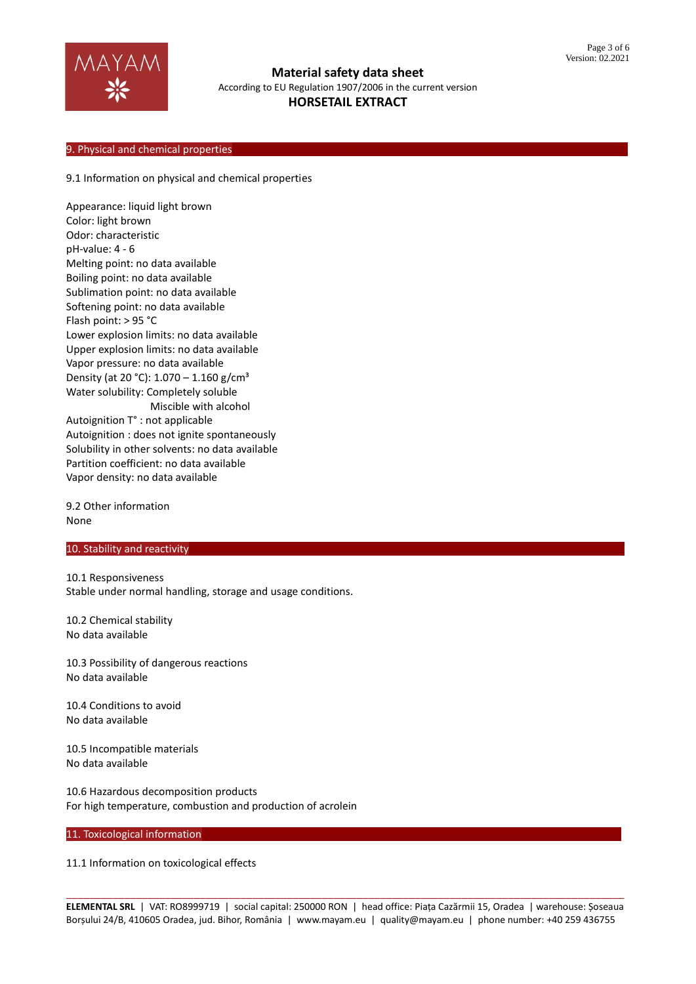

### 9. Physical and chemical properties

#### 9.1 Information on physical and chemical properties

Appearance: liquid light brown Color: light brown Odor: characteristic pH-value: 4 - 6 Melting point: no data available Boiling point: no data available Sublimation point: no data available Softening point: no data available Flash point: > 95 °C Lower explosion limits: no data available Upper explosion limits: no data available Vapor pressure: no data available Density (at 20 °C):  $1.070 - 1.160$  g/cm<sup>3</sup> Water solubility: Completely soluble Miscible with alcohol Autoignition T° : not applicable Autoignition : does not ignite spontaneously Solubility in other solvents: no data available Partition coefficient: no data available Vapor density: no data available

9.2 Other information None

### 10. Stability and reactivity

10.1 Responsiveness Stable under normal handling, storage and usage conditions.

10.2 Chemical stability No data available

10.3 Possibility of dangerous reactions No data available

10.4 Conditions to avoid No data available

10.5 Incompatible materials No data available

10.6 Hazardous decomposition products For high temperature, combustion and production of acrolein

#### 11. Toxicological information

11.1 Information on toxicological effects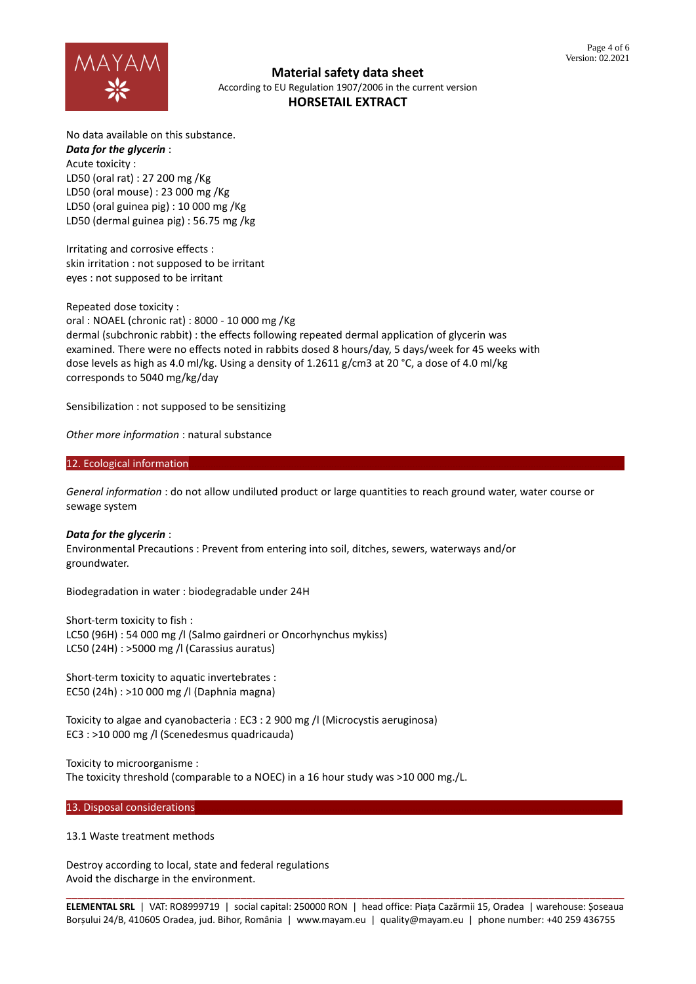

No data available on this substance. *Data for the glycerin* : Acute toxicity : LD50 (oral rat) : 27 200 mg /Kg LD50 (oral mouse) : 23 000 mg /Kg LD50 (oral guinea pig) : 10 000 mg /Kg LD50 (dermal guinea pig) : 56.75 mg /kg

Irritating and corrosive effects : skin irritation : not supposed to be irritant eyes : not supposed to be irritant

Repeated dose toxicity : oral : NOAEL (chronic rat) : 8000 - 10 000 mg /Kg dermal (subchronic rabbit) : the effects following repeated dermal application of glycerin was

examined. There were no effects noted in rabbits dosed 8 hours/day, 5 days/week for 45 weeks with dose levels as high as 4.0 ml/kg. Using a density of 1.2611 g/cm3 at 20 °C, a dose of 4.0 ml/kg corresponds to 5040 mg/kg/day

Sensibilization : not supposed to be sensitizing

*Other more information* : natural substance

# 12. Ecological information

*General information* : do not allow undiluted product or large quantities to reach ground water, water course or sewage system

*Data for the glycerin* : Environmental Precautions : Prevent from entering into soil, ditches, sewers, waterways and/or groundwater.

Biodegradation in water : biodegradable under 24H

Short-term toxicity to fish : LC50 (96H) : 54 000 mg /l (Salmo gairdneri or Oncorhynchus mykiss) LC50 (24H) : >5000 mg /l (Carassius auratus)

Short-term toxicity to aquatic invertebrates : EC50 (24h) : >10 000 mg /l (Daphnia magna)

Toxicity to algae and cyanobacteria : EC3 : 2 900 mg /l (Microcystis aeruginosa) EC3 : >10 000 mg /l (Scenedesmus quadricauda)

Toxicity to microorganisme : The toxicity threshold (comparable to a NOEC) in a 16 hour study was >10 000 mg./L.

13. Disposal considerations

13.1 Waste treatment methods

Destroy according to local, state and federal regulations Avoid the discharge in the environment.

\_\_\_\_\_\_\_\_\_\_\_\_\_\_\_\_\_\_\_\_\_\_\_\_\_\_\_\_\_\_\_\_\_\_\_\_\_\_\_\_\_\_\_\_\_\_\_\_\_\_\_\_\_\_\_\_\_\_\_\_\_\_\_\_\_\_\_\_\_\_\_\_\_\_\_\_\_\_\_\_\_\_\_\_\_\_\_\_\_\_\_\_\_\_\_\_ **ELEMENTAL SRL** | VAT: RO8999719 | social capital: 250000 RON | head office: Piața Cazărmii 15, Oradea | warehouse: Șoseaua Borșului 24/B, 410605 Oradea, jud. Bihor, România | www.mayam.eu | quality@mayam.eu | phone number: +40 259 436755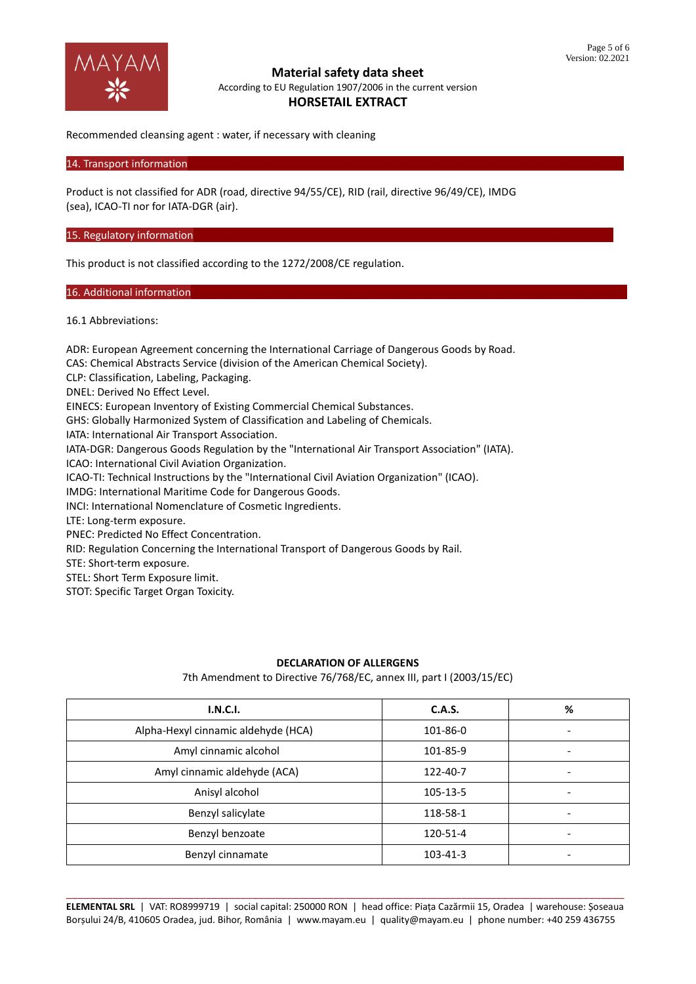

Recommended cleansing agent : water, if necessary with cleaning

14. Transport information

Product is not classified for ADR (road, directive 94/55/CE), RID (rail, directive 96/49/CE), IMDG (sea), ICAO-TI nor for IATA-DGR (air).

15. Regulatory information

This product is not classified according to the 1272/2008/CE regulation.

16. Additional information

16.1 Abbreviations:

ADR: European Agreement concerning the International Carriage of Dangerous Goods by Road. CAS: Chemical Abstracts Service (division of the American Chemical Society). CLP: Classification, Labeling, Packaging. DNEL: Derived No Effect Level. EINECS: European Inventory of Existing Commercial Chemical Substances. GHS: Globally Harmonized System of Classification and Labeling of Chemicals. IATA: International Air Transport Association. IATA-DGR: Dangerous Goods Regulation by the "International Air Transport Association" (IATA). ICAO: International Civil Aviation Organization. ICAO-TI: Technical Instructions by the "International Civil Aviation Organization" (ICAO). IMDG: International Maritime Code for Dangerous Goods. INCI: International Nomenclature of Cosmetic Ingredients. LTE: Long-term exposure. PNEC: Predicted No Effect Concentration. RID: Regulation Concerning the International Transport of Dangerous Goods by Rail. STE: Short-term exposure.

STEL: Short Term Exposure limit.

STOT: Specific Target Organ Toxicity.

### **DECLARATION OF ALLERGENS**

7th Amendment to Directive 76/768/EC, annex III, part I (2003/15/EC)

| I.N.C.I.                            | C.A.S.   | % |
|-------------------------------------|----------|---|
| Alpha-Hexyl cinnamic aldehyde (HCA) | 101-86-0 |   |
| Amyl cinnamic alcohol               | 101-85-9 |   |
| Amyl cinnamic aldehyde (ACA)        | 122-40-7 |   |
| Anisyl alcohol                      | 105-13-5 |   |
| Benzyl salicylate                   | 118-58-1 | ٠ |
| Benzyl benzoate                     | 120-51-4 |   |
| Benzyl cinnamate                    | 103-41-3 |   |

\_\_\_\_\_\_\_\_\_\_\_\_\_\_\_\_\_\_\_\_\_\_\_\_\_\_\_\_\_\_\_\_\_\_\_\_\_\_\_\_\_\_\_\_\_\_\_\_\_\_\_\_\_\_\_\_\_\_\_\_\_\_\_\_\_\_\_\_\_\_\_\_\_\_\_\_\_\_\_\_\_\_\_\_\_\_\_\_\_\_\_\_\_\_\_\_ **ELEMENTAL SRL** | VAT: RO8999719 | social capital: 250000 RON | head office: Piața Cazărmii 15, Oradea | warehouse: Șoseaua Borșului 24/B, 410605 Oradea, jud. Bihor, România | www.mayam.eu | quality@mayam.eu | phone number: +40 259 436755